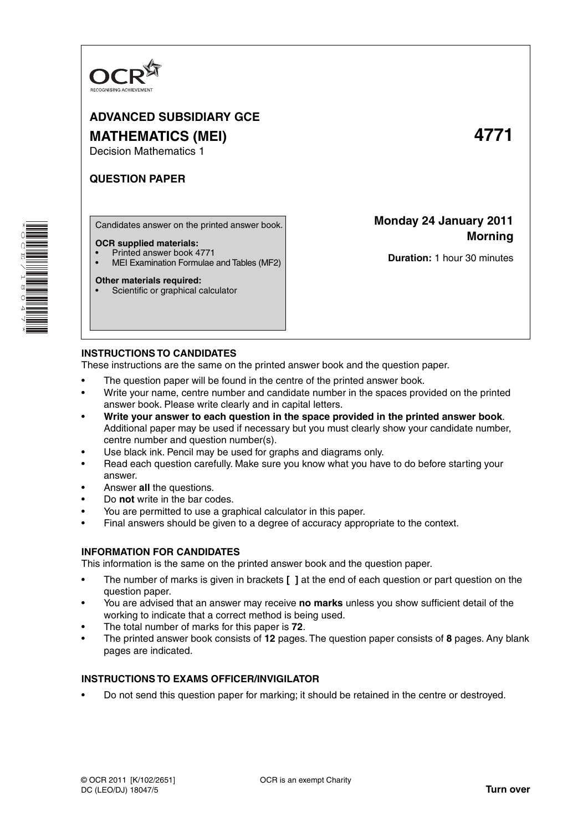

# **ADVANCED SUBSIDIARY GCE MATHEMATICS (MEI) 4771**

Decision Mathematics 1

# **QUESTION PAPER**



Candidates answer on the printed answer book.

### **OCR supplied materials:**

- Printed answer book 4771
- MEI Examination Formulae and Tables (MF2)

# **Other materials required:**

Scientific or graphical calculator

**Monday 24 January 2011 Morning**

**Duration:** 1 hour 30 minutes

# **INSTRUCTIONS TO CANDIDATES**

These instructions are the same on the printed answer book and the question paper.

- The question paper will be found in the centre of the printed answer book.
- Write your name, centre number and candidate number in the spaces provided on the printed answer book. Please write clearly and in capital letters.
- **Write your answer to each question in the space provided in the printed answer book**. Additional paper may be used if necessary but you must clearly show your candidate number, centre number and question number(s).
- Use black ink. Pencil may be used for graphs and diagrams only.
- Read each question carefully. Make sure you know what you have to do before starting your answer.
- Answer **all** the questions.
- Do **not** write in the bar codes.
- You are permitted to use a graphical calculator in this paper.
- Final answers should be given to a degree of accuracy appropriate to the context.

# **INFORMATION FOR CANDIDATES**

This information is the same on the printed answer book and the question paper.

- The number of marks is given in brackets **[ ]** at the end of each question or part question on the question paper.
- You are advised that an answer may receive **no marks** unless you show sufficient detail of the working to indicate that a correct method is being used.
- The total number of marks for this paper is **72**.
- The printed answer book consists of **12** pages. The question paper consists of **8** pages. Any blank pages are indicated.

# **INSTRUCTIONS TO EXAMS OFFICER/INVIGILATOR**

• Do not send this question paper for marking; it should be retained in the centre or destroyed.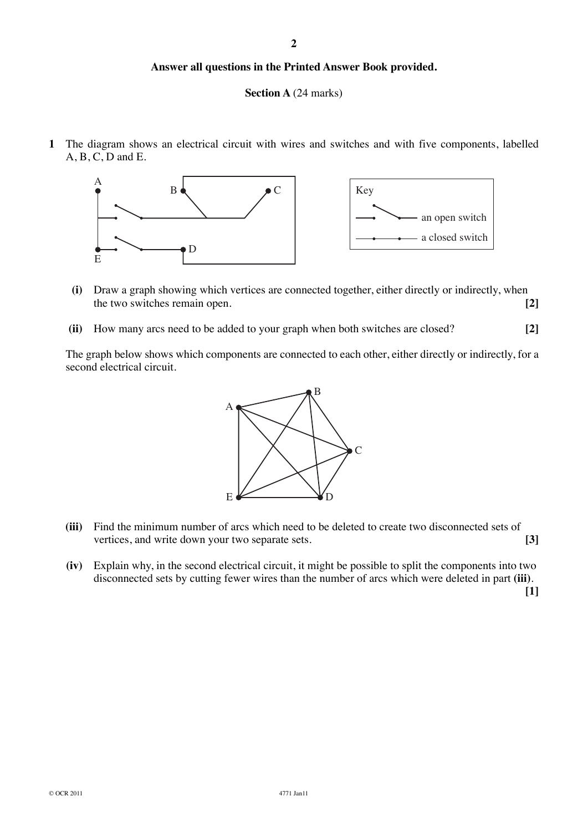# **Answer all questions in the Printed Answer Book provided.**

# **Section A** (24 marks)

**1** The diagram shows an electrical circuit with wires and switches and with five components, labelled  $A, B, C, D$  and E.





- **(i)** Draw a graph showing which vertices are connected together, either directly or indirectly, when the two switches remain open. **[2]**
- **(ii)** How many arcs need to be added to your graph when both switches are closed? **[2]**

The graph below shows which components are connected to each other, either directly or indirectly, for a second electrical circuit.



- **(iii)** Find the minimum number of arcs which need to be deleted to create two disconnected sets of vertices, and write down your two separate sets. **[3]**
- **(iv)** Explain why, in the second electrical circuit, it might be possible to split the components into two disconnected sets by cutting fewer wires than the number of arcs which were deleted in part **(iii)**.

**[1]**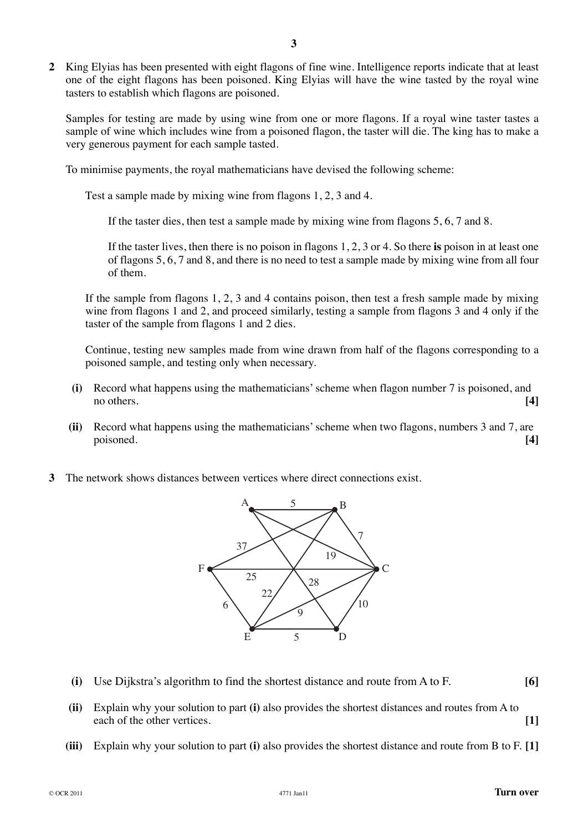**2** King Elyias has been presented with eight flagons of fine wine. Intelligence reports indicate that at least one of the eight flagons has been poisoned. King Elyias will have the wine tasted by the royal wine tasters to establish which flagons are poisoned.

Samples for testing are made by using wine from one or more flagons. If a royal wine taster tastes a sample of wine which includes wine from a poisoned flagon, the taster will die. The king has to make a very generous payment for each sample tasted.

To minimise payments, the royal mathematicians have devised the following scheme:

Test a sample made by mixing wine from flagons 1, 2, 3 and 4.

If the taster dies, then test a sample made by mixing wine from flagons 5, 6, 7 and 8.

 If the taster lives, then there is no poison in flagons 1, 2, 3 or 4. So there **is** poison in at least one of flagons 5, 6, 7 and 8, and there is no need to test a sample made by mixing wine from all four of them.

 If the sample from flagons 1, 2, 3 and 4 contains poison, then test a fresh sample made by mixing wine from flagons 1 and 2, and proceed similarly, testing a sample from flagons 3 and 4 only if the taster of the sample from flagons 1 and 2 dies.

 Continue, testing new samples made from wine drawn from half of the flagons corresponding to a poisoned sample, and testing only when necessary.

- **(i)** Record what happens using the mathematicians' scheme when flagon number 7 is poisoned, and no others. **[4]**
- **(ii)** Record what happens using the mathematicians' scheme when two flagons, numbers 3 and 7, are poisoned. **[4]**
- **3** The network shows distances between vertices where direct connections exist.



- **(i)** Use Dijkstra's algorithm to find the shortest distance and route from A to F. **[6]**
- **(ii)** Explain why your solution to part **(i)** also provides the shortest distances and routes from A to each of the other vertices. **[1]**
- **(iii)** Explain why your solution to part **(i)** also provides the shortest distance and route from B to F. **[1]**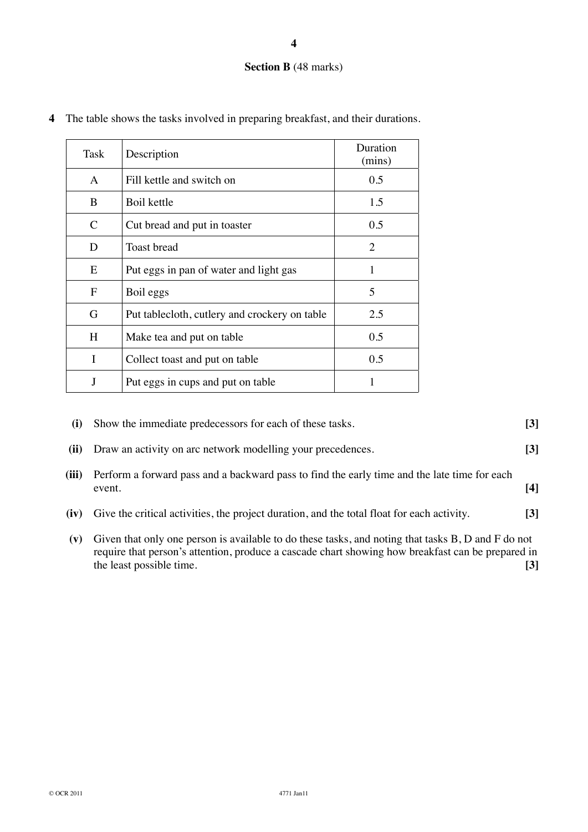# **Section B** (48 marks)

| Task        | Description                                   | Duration<br>(mins) |
|-------------|-----------------------------------------------|--------------------|
| A           | Fill kettle and switch on                     | 0.5                |
| B           | Boil kettle                                   | 1.5                |
| C           | Cut bread and put in toaster                  | 0.5                |
| D           | <b>Toast bread</b>                            | $\mathfrak{D}$     |
| E           | Put eggs in pan of water and light gas        | 1                  |
| $\mathbf F$ | Boil eggs                                     | 5                  |
| G           | Put tablecloth, cutlery and crockery on table | 2.5                |
| H           | Make tea and put on table                     | 0.5                |
| T           | Collect toast and put on table                | 0.5                |
|             | Put eggs in cups and put on table             |                    |

**4** The table shows the tasks involved in preparing breakfast, and their durations.

| (i)   | Show the immediate predecessors for each of these tasks.                                               | $\lceil 3 \rceil$ |
|-------|--------------------------------------------------------------------------------------------------------|-------------------|
| (ii)  | Draw an activity on arc network modelling your precedences.                                            | $\lceil 3 \rceil$ |
| (iii) | Perform a forward pass and a backward pass to find the early time and the late time for each<br>event. |                   |

- **(iv)** Give the critical activities, the project duration, and the total float for each activity. **[3]**
- **(v)** Given that only one person is available to do these tasks, and noting that tasks B, D and F do not require that person's attention, produce a cascade chart showing how breakfast can be prepared in the least possible time. **[3]**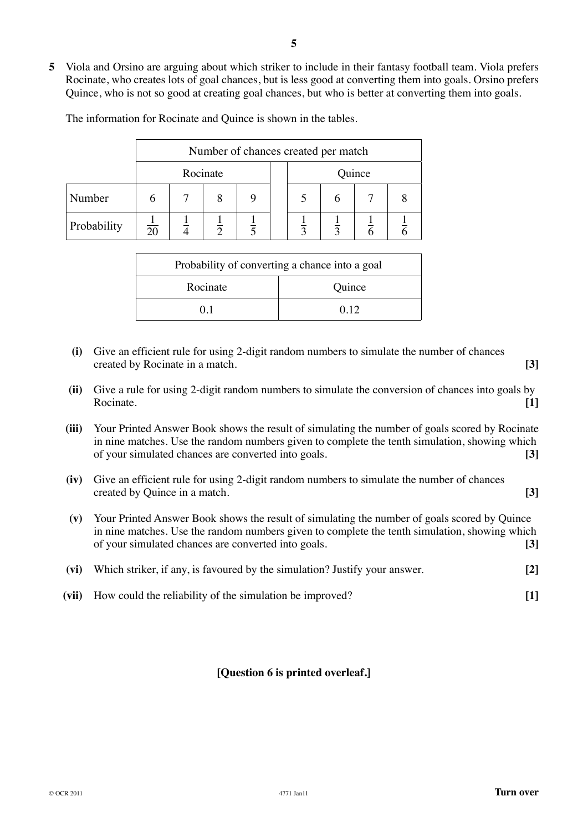**5** Viola and Orsino are arguing about which striker to include in their fantasy football team. Viola prefers Rocinate, who creates lots of goal chances, but is less good at converting them into goals. Orsino prefers Quince, who is not so good at creating goal chances, but who is better at converting them into goals.

The information for Rocinate and Quince is shown in the tables.

|             |                 | Number of chances created per match |  |  |  |  |          |  |  |  |  |  |  |
|-------------|-----------------|-------------------------------------|--|--|--|--|----------|--|--|--|--|--|--|
|             |                 | Rocinate<br>Quince                  |  |  |  |  |          |  |  |  |  |  |  |
| Number      |                 |                                     |  |  |  |  |          |  |  |  |  |  |  |
| Probability | $\overline{20}$ |                                     |  |  |  |  | $\Omega$ |  |  |  |  |  |  |

| Probability of converting a chance into a goal |        |
|------------------------------------------------|--------|
| Rocinate                                       | Quince |
| 01                                             | 0.12   |

- **(i)** Give an efficient rule for using 2-digit random numbers to simulate the number of chances created by Rocinate in a match. **[3]**
- **(ii)** Give a rule for using 2-digit random numbers to simulate the conversion of chances into goals by Rocinate. Rocinate. **[1] [1]**
- **(iii)** Your Printed Answer Book shows the result of simulating the number of goals scored by Rocinate in nine matches. Use the random numbers given to complete the tenth simulation, showing which of your simulated chances are converted into goals. **[3]**
- **(iv)** Give an efficient rule for using 2-digit random numbers to simulate the number of chances created by Quince in a match. **[3]**
- **(v)** Your Printed Answer Book shows the result of simulating the number of goals scored by Quince in nine matches. Use the random numbers given to complete the tenth simulation, showing which of your simulated chances are converted into goals. **[3]**
- **(vi)** Which striker, if any, is favoured by the simulation? Justify your answer. **[2]**
- **(vii)** How could the reliability of the simulation be improved? **[1]**

# **[Question 6 is printed overleaf.]**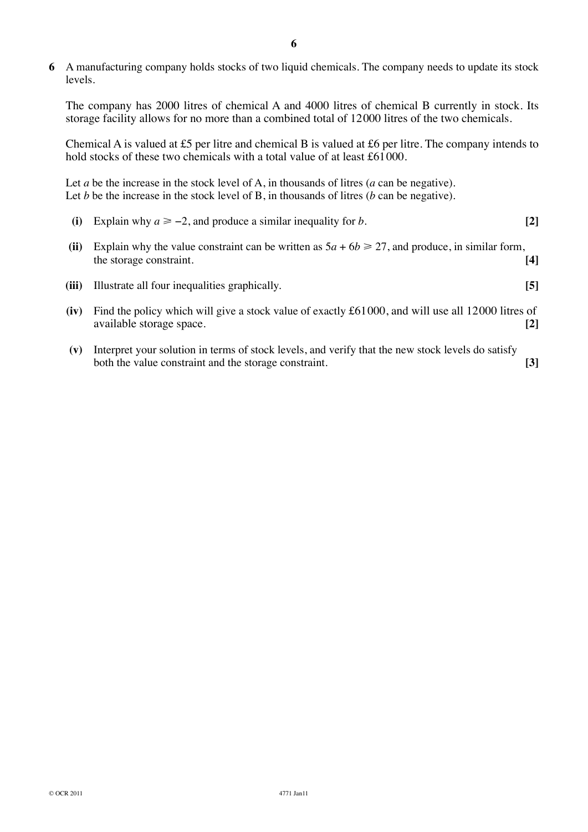**6** A manufacturing company holds stocks of two liquid chemicals. The company needs to update its stock levels.

The company has 2000 litres of chemical A and 4000 litres of chemical B currently in stock. Its storage facility allows for no more than a combined total of 12 000 litres of the two chemicals.

Chemical A is valued at £5 per litre and chemical B is valued at £6 per litre. The company intends to hold stocks of these two chemicals with a total value of at least £61 000.

Let *a* be the increase in the stock level of A, in thousands of litres (*a* can be negative). Let *b* be the increase in the stock level of B, in thousands of litres (*b* can be negative).

| Explain why $a \ge -2$ , and produce a similar inequality for b.                                                               |  |
|--------------------------------------------------------------------------------------------------------------------------------|--|
| Explain why the value constraint can be written as $5a + 6b \ge 27$ , and produce, in similar form,<br>the storage constraint. |  |

- **(iii)** Illustrate all four inequalities graphically. **[5]**
- **(iv)** Find the policy which will give a stock value of exactly £61 000, and will use all 12 000 litres of available storage space. **[2]**
- **(v)** Interpret your solution in terms of stock levels, and verify that the new stock levels do satisfy both the value constraint and the storage constraint. **[3]**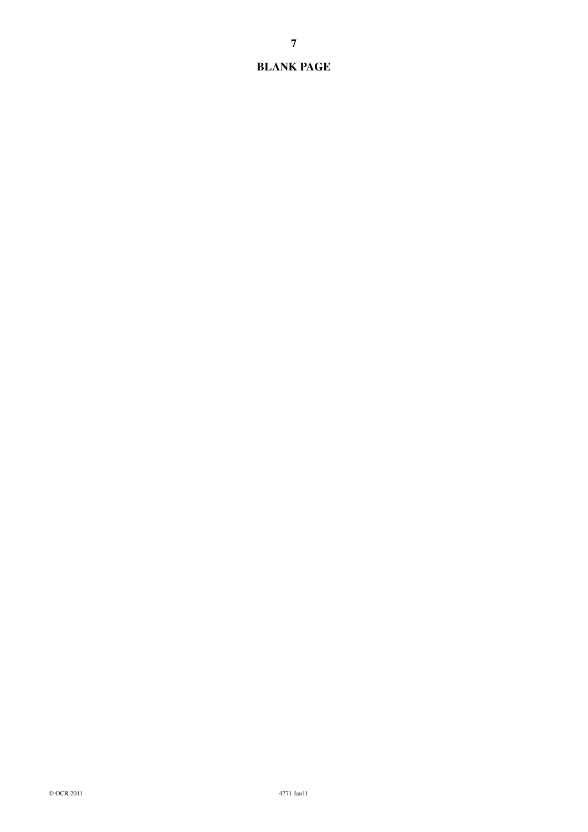# **BLANK PAGE**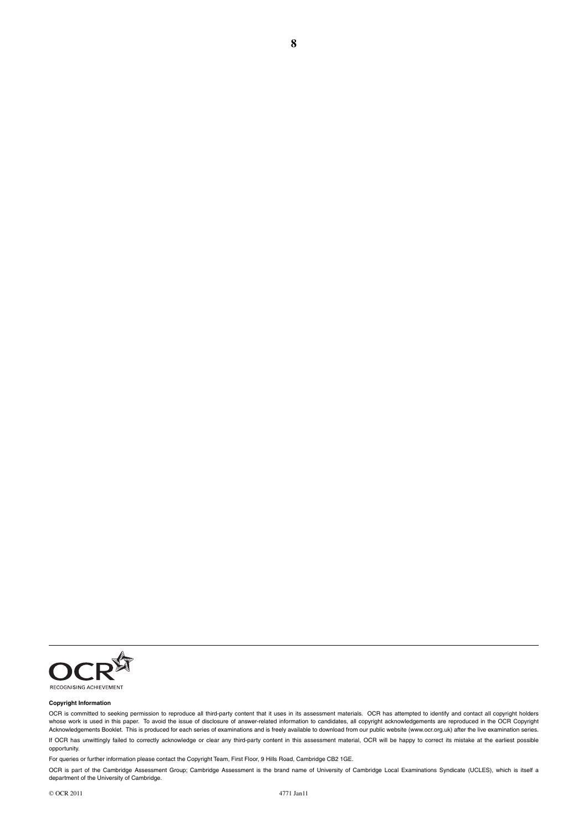

#### **Copyright Information**

OCR is committed to seeking permission to reproduce all third-party content that it uses in its assessment materials. OCR has attempted to identify and contact all copyright holders whose work is used in this paper. To avoid the issue of disclosure of answer-related information to candidates, all copyright acknowledgements are reproduced in the OCR Copyright Acknowledgements Booklet. This is produced for each series of examinations and is freely available to download from our public website (www.ocr.org.uk) after the live examination series. If OCR has unwittingly failed to correctly acknowledge or clear any third-party content in this assessment material, OCR will be happy to correct its mistake at the earliest possible opportunity.

**8**

For queries or further information please contact the Copyright Team, First Floor, 9 Hills Road, Cambridge CB2 1GE.

OCR is part of the Cambridge Assessment Group; Cambridge Assessment is the brand name of University of Cambridge Local Examinations Syndicate (UCLES), which is itself a department of the University of Cambridge.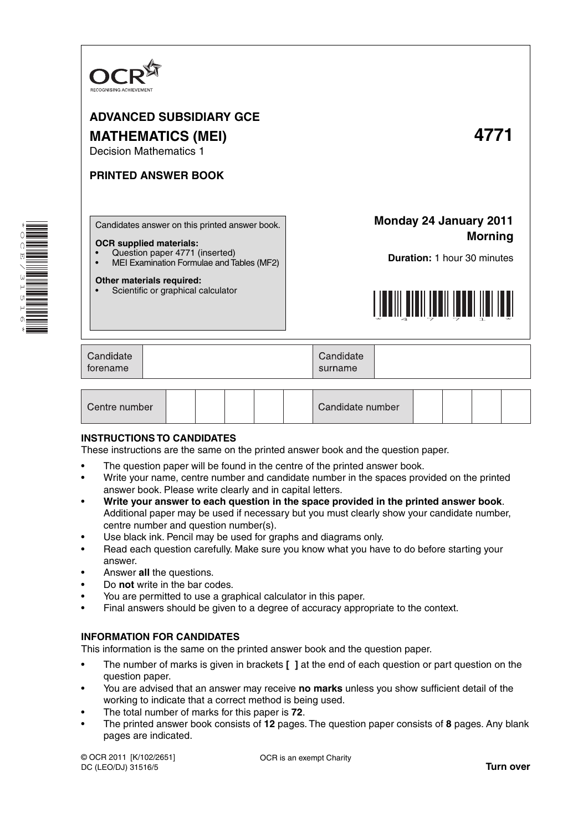

# **ADVANCED SUBSIDIARY GCE**

**MATHEMATICS (MEI) 4771**

Decision Mathematics 1

# **PRINTED ANSWER BOOK**

\*OCE/31516\* N NA MARINA Candidates answer on this printed answer book.

## **OCR supplied materials:**

- Question paper 4771 (inserted)
- MEI Examination Formulae and Tables (MF2)

#### **Other materials required:** Scientific or graphical calculator

# **Monday 24 January 2011 Morning**

**Duration:** 1 hour 30 minutes



| Candidate | Candidate |  |
|-----------|-----------|--|
| torename  | surname   |  |

| Centre number |  |  |  |  |  | Candidate number |  |  |  |  |  |
|---------------|--|--|--|--|--|------------------|--|--|--|--|--|
|---------------|--|--|--|--|--|------------------|--|--|--|--|--|

# **INSTRUCTIONS TO CANDIDATES**

These instructions are the same on the printed answer book and the question paper.

- The question paper will be found in the centre of the printed answer book.
- Write your name, centre number and candidate number in the spaces provided on the printed answer book. Please write clearly and in capital letters.
- **Write your answer to each question in the space provided in the printed answer book**. Additional paper may be used if necessary but you must clearly show your candidate number, centre number and question number(s).
- Use black ink. Pencil may be used for graphs and diagrams only.
- Read each question carefully. Make sure you know what you have to do before starting your answer.
- Answer **all** the questions.
- Do **not** write in the bar codes.
- You are permitted to use a graphical calculator in this paper.
- Final answers should be given to a degree of accuracy appropriate to the context.

# **INFORMATION FOR CANDIDATES**

This information is the same on the printed answer book and the question paper.

- The number of marks is given in brackets **[ ]** at the end of each question or part question on the question paper.
- You are advised that an answer may receive **no marks** unless you show sufficient detail of the working to indicate that a correct method is being used.
- The total number of marks for this paper is **72**.
- The printed answer book consists of **12** pages. The question paper consists of **8** pages. Any blank pages are indicated.

© OCR 2011 [K/102/2651] DC (LEO/DJ) 31516/5

OCR is an exempt Charity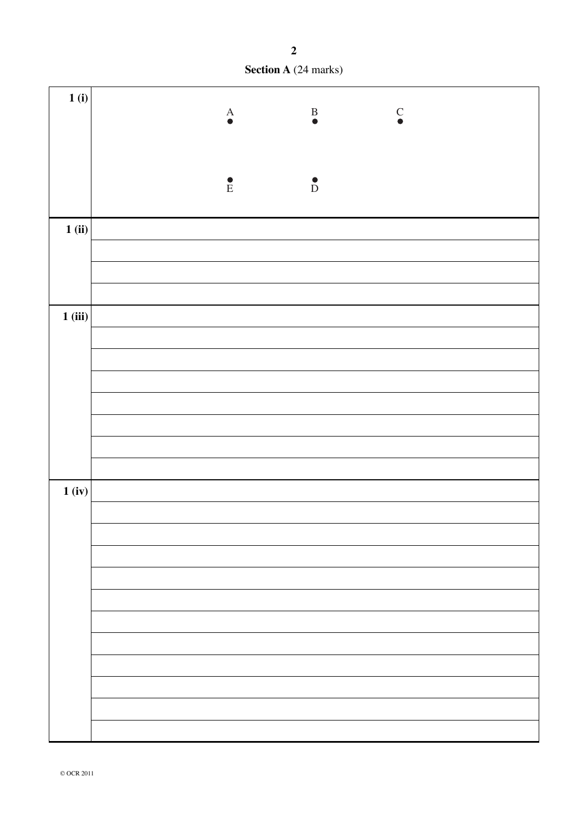**Section A** (24 marks)

| 1(i)   | $\overline{A}$                | $\overline{\mathbf{B}}$ | $\mathbf{C}$ |
|--------|-------------------------------|-------------------------|--------------|
|        | $\overset{\bullet}{\text{E}}$ | $\overrightarrow{D}$    |              |
| 1(i)   |                               |                         |              |
| 1(iii) |                               |                         |              |
| 1 (iv) |                               |                         |              |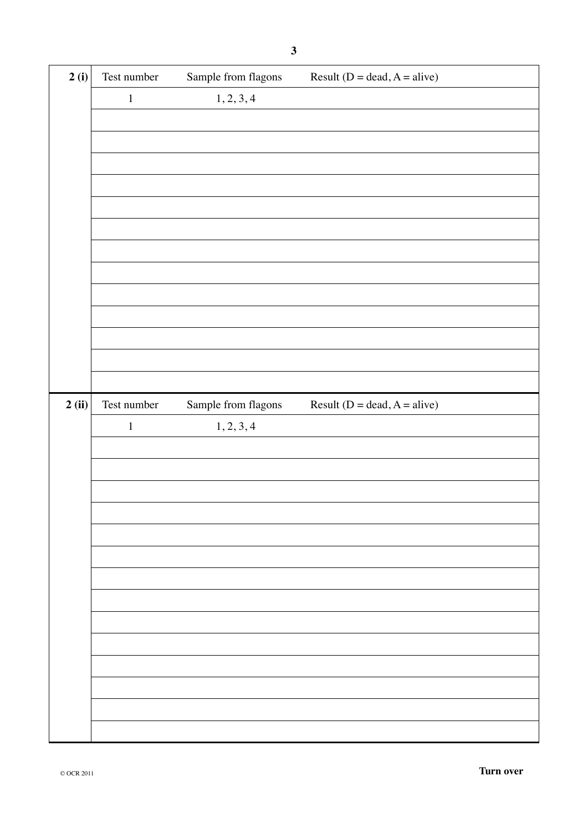| 2(i) | Test number | Sample from flagons | Result ( $D = dead, A = alive$ ) |
|------|-------------|---------------------|----------------------------------|
|      | $\,1\,$     | 1, 2, 3, 4          |                                  |
|      |             |                     |                                  |
|      |             |                     |                                  |
|      |             |                     |                                  |
|      |             |                     |                                  |
|      |             |                     |                                  |
|      |             |                     |                                  |
|      |             |                     |                                  |
|      |             |                     |                                  |
|      |             |                     |                                  |
|      |             |                     |                                  |
|      |             |                     |                                  |
|      |             |                     |                                  |
|      |             |                     |                                  |
| 2(i) | Test number | Sample from flagons | Result ( $D = dead, A = alive$ ) |
|      |             |                     |                                  |
|      | $\mathbf 1$ | 1, 2, 3, 4          |                                  |
|      |             |                     |                                  |
|      |             |                     |                                  |
|      |             |                     |                                  |
|      |             |                     |                                  |
|      |             |                     |                                  |
|      |             |                     |                                  |
|      |             |                     |                                  |
|      |             |                     |                                  |
|      |             |                     |                                  |
|      |             |                     |                                  |
|      |             |                     |                                  |
|      |             |                     |                                  |
|      |             |                     |                                  |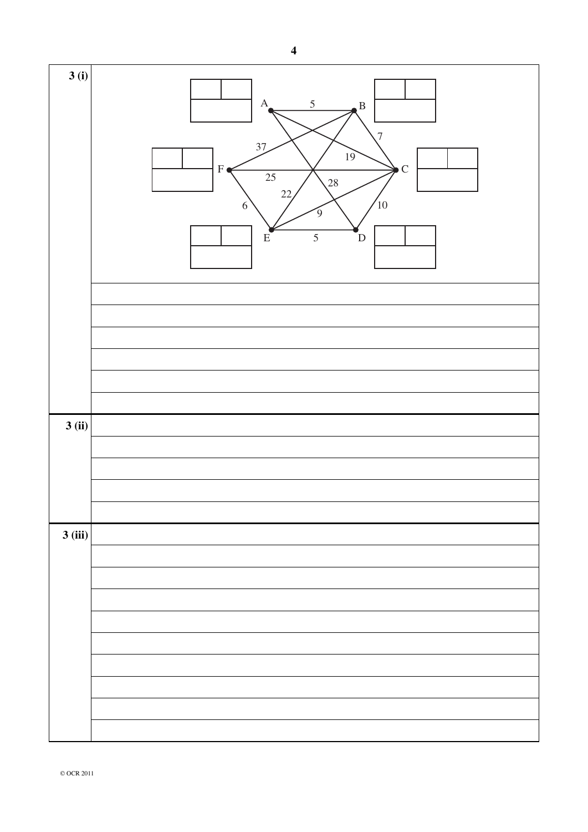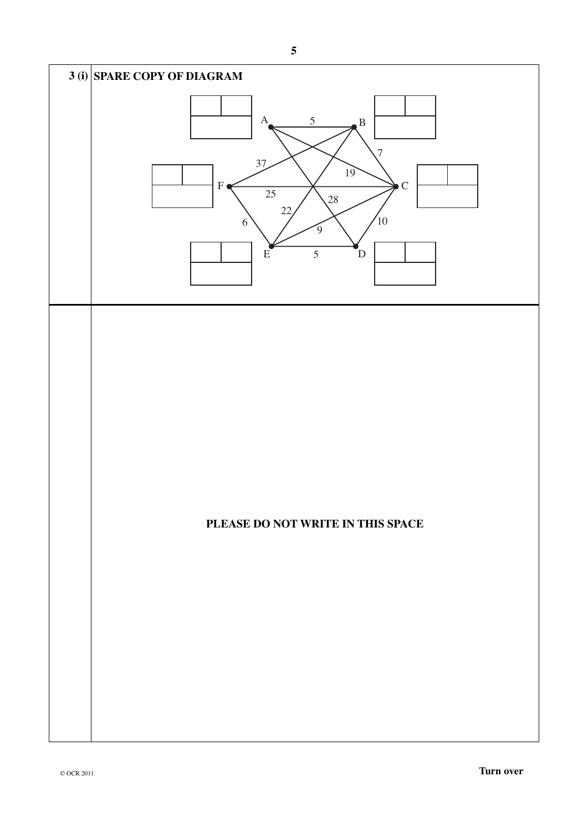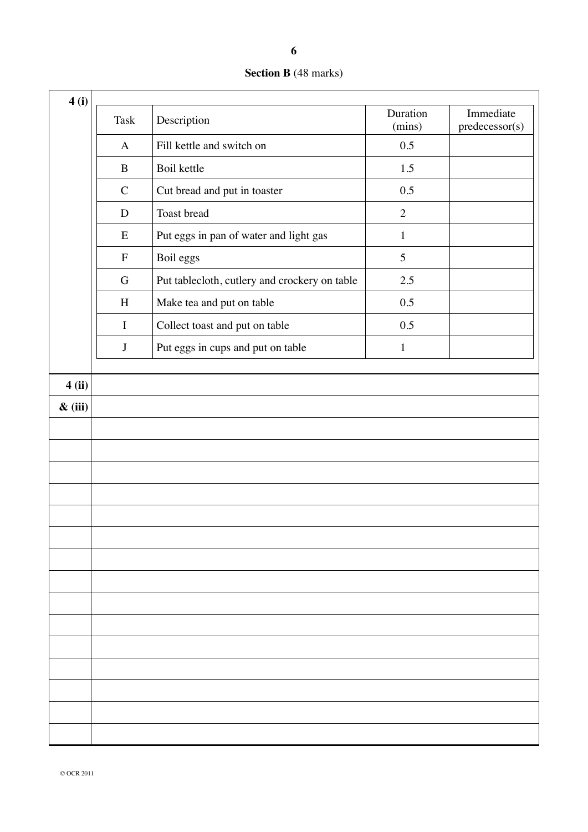**Section B** (48 marks)

| 4(i)       |              |                                               |                    |                             |
|------------|--------------|-----------------------------------------------|--------------------|-----------------------------|
|            | <b>Task</b>  | Description                                   | Duration<br>(mins) | Immediate<br>predecessor(s) |
|            | $\mathbf{A}$ | Fill kettle and switch on                     | 0.5                |                             |
|            | $\bf{B}$     | Boil kettle                                   | 1.5                |                             |
|            | $\mathbf C$  | Cut bread and put in toaster                  | 0.5                |                             |
|            | $\mathbf D$  | Toast bread                                   | $\mathbf{2}$       |                             |
|            | E            | Put eggs in pan of water and light gas        | $\mathbf{1}$       |                             |
|            | ${\bf F}$    | Boil eggs                                     | 5                  |                             |
|            | $\mathbf G$  | Put tablecloth, cutlery and crockery on table | 2.5                |                             |
|            | H            | Make tea and put on table                     | 0.5                |                             |
|            | $\mathbf I$  | Collect toast and put on table                | 0.5                |                             |
|            | $\mathbf J$  | Put eggs in cups and put on table             | $\mathbf{1}$       |                             |
|            |              |                                               |                    |                             |
| 4(ii)      |              |                                               |                    |                             |
| $\&$ (iii) |              |                                               |                    |                             |
|            |              |                                               |                    |                             |
|            |              |                                               |                    |                             |
|            |              |                                               |                    |                             |
|            |              |                                               |                    |                             |
|            |              |                                               |                    |                             |
|            |              |                                               |                    |                             |
|            |              |                                               |                    |                             |
|            |              |                                               |                    |                             |
|            |              |                                               |                    |                             |
|            |              |                                               |                    |                             |
|            |              |                                               |                    |                             |
|            |              |                                               |                    |                             |
|            |              |                                               |                    |                             |
|            |              |                                               |                    |                             |
|            |              |                                               |                    |                             |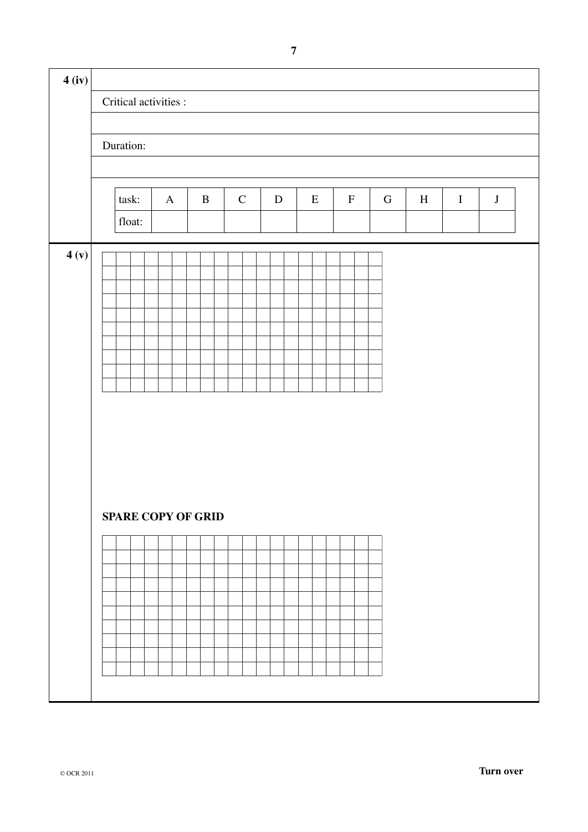| 4(iv) |  |                           |              |  |              |  |           |           |  |           |             |  |             |              |  |         |         |  |
|-------|--|---------------------------|--------------|--|--------------|--|-----------|-----------|--|-----------|-------------|--|-------------|--------------|--|---------|---------|--|
|       |  | Critical activities :     |              |  |              |  |           |           |  |           |             |  |             |              |  |         |         |  |
|       |  |                           |              |  |              |  |           |           |  |           |             |  |             |              |  |         |         |  |
|       |  | Duration:                 |              |  |              |  |           |           |  |           |             |  |             |              |  |         |         |  |
|       |  |                           |              |  |              |  |           |           |  |           |             |  |             |              |  |         |         |  |
|       |  | task:                     |              |  | $\, {\bf B}$ |  | ${\bf C}$ | ${\bf D}$ |  | ${\bf E}$ | $\mathbf F$ |  | $\mathbf G$ | $\, {\rm H}$ |  | $\bf I$ | $\bf J$ |  |
|       |  |                           | $\mathbf{A}$ |  |              |  |           |           |  |           |             |  |             |              |  |         |         |  |
|       |  | float:                    |              |  |              |  |           |           |  |           |             |  |             |              |  |         |         |  |
| 4(y)  |  |                           |              |  |              |  |           |           |  |           |             |  |             |              |  |         |         |  |
|       |  |                           |              |  |              |  |           |           |  |           |             |  |             |              |  |         |         |  |
|       |  |                           |              |  |              |  |           |           |  |           |             |  |             |              |  |         |         |  |
|       |  |                           |              |  |              |  |           |           |  |           |             |  |             |              |  |         |         |  |
|       |  |                           |              |  |              |  |           |           |  |           |             |  |             |              |  |         |         |  |
|       |  |                           |              |  |              |  |           |           |  |           |             |  |             |              |  |         |         |  |
|       |  |                           |              |  |              |  |           |           |  |           |             |  |             |              |  |         |         |  |
|       |  |                           |              |  |              |  |           |           |  |           |             |  |             |              |  |         |         |  |
|       |  |                           |              |  |              |  |           |           |  |           |             |  |             |              |  |         |         |  |
|       |  |                           |              |  |              |  |           |           |  |           |             |  |             |              |  |         |         |  |
|       |  |                           |              |  |              |  |           |           |  |           |             |  |             |              |  |         |         |  |
|       |  |                           |              |  |              |  |           |           |  |           |             |  |             |              |  |         |         |  |
|       |  | <b>SPARE COPY OF GRID</b> |              |  |              |  |           |           |  |           |             |  |             |              |  |         |         |  |
|       |  |                           |              |  |              |  |           |           |  |           |             |  |             |              |  |         |         |  |
|       |  |                           |              |  |              |  |           |           |  |           |             |  |             |              |  |         |         |  |
|       |  |                           |              |  |              |  |           |           |  |           |             |  |             |              |  |         |         |  |
|       |  |                           |              |  |              |  |           |           |  |           |             |  |             |              |  |         |         |  |
|       |  |                           |              |  |              |  |           |           |  |           |             |  |             |              |  |         |         |  |
|       |  |                           |              |  |              |  |           |           |  |           |             |  |             |              |  |         |         |  |
|       |  |                           |              |  |              |  |           |           |  |           |             |  |             |              |  |         |         |  |
|       |  |                           |              |  |              |  |           |           |  |           |             |  |             |              |  |         |         |  |
|       |  |                           |              |  |              |  |           |           |  |           |             |  |             |              |  |         |         |  |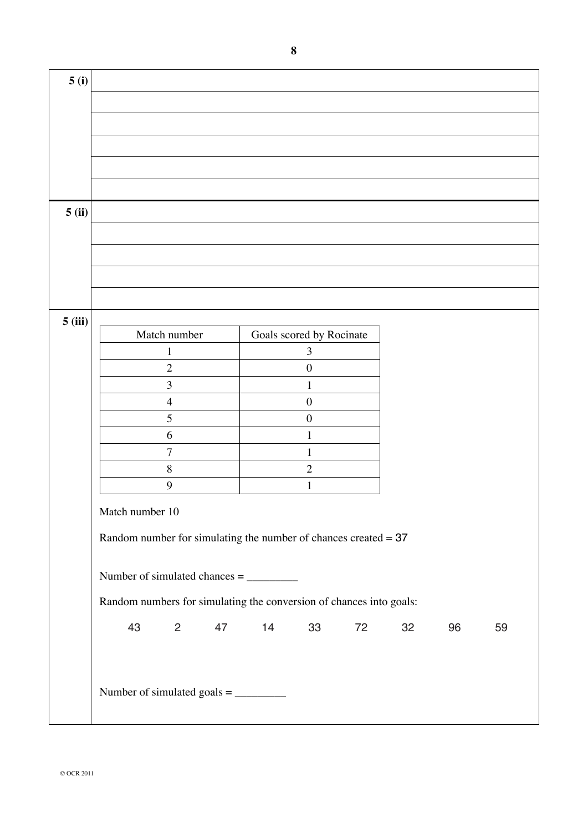# **5 (ii) 5 (iii)** Match number Goals scored by Rocinate 1 3 2 0 3 1 4 0 5 0 6 1 7 1 8 2 9 1 Match number 10 Random number for simulating the number of chances created = 37 Number of simulated chances = \_\_\_\_\_\_\_\_\_ Random numbers for simulating the conversion of chances into goals: 43 2 47 14 33 72 32 96 59 Number of simulated goals = \_\_\_\_\_\_\_\_\_

**5 (i)**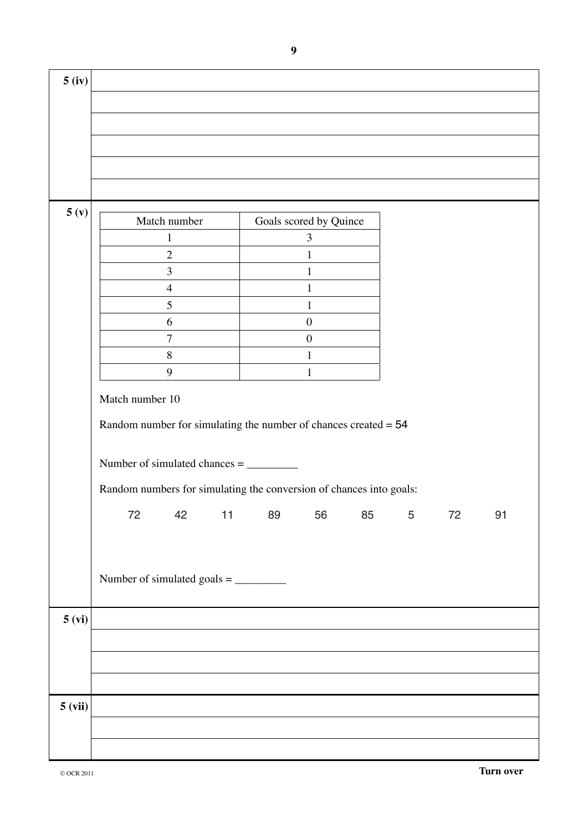|      |                |                                                        |    | $\mathbf{1}$                         |                                             |                        |                                                                                                                                          |    |
|------|----------------|--------------------------------------------------------|----|--------------------------------------|---------------------------------------------|------------------------|------------------------------------------------------------------------------------------------------------------------------------------|----|
|      | 3              |                                                        |    | $\mathbf{1}$                         |                                             |                        |                                                                                                                                          |    |
|      | $\overline{4}$ |                                                        |    | 1                                    |                                             |                        |                                                                                                                                          |    |
|      | 5              |                                                        |    | $\mathbf{1}$                         |                                             |                        |                                                                                                                                          |    |
|      | 6              |                                                        |    | $\boldsymbol{0}$                     |                                             |                        |                                                                                                                                          |    |
|      | $\overline{7}$ |                                                        |    | $\boldsymbol{0}$                     |                                             |                        |                                                                                                                                          |    |
|      | 8              |                                                        |    | $\mathbf{1}$                         |                                             |                        |                                                                                                                                          |    |
|      | 9              |                                                        |    | $\mathbf{1}$                         |                                             |                        |                                                                                                                                          |    |
|      |                |                                                        |    |                                      |                                             |                        |                                                                                                                                          |    |
|      |                |                                                        |    |                                      |                                             |                        |                                                                                                                                          |    |
|      |                |                                                        |    |                                      |                                             |                        |                                                                                                                                          |    |
|      |                |                                                        |    |                                      |                                             |                        |                                                                                                                                          |    |
|      |                |                                                        |    |                                      |                                             |                        |                                                                                                                                          |    |
| $72$ | 42             | 11                                                     | 89 | 56                                   | 85                                          | $\overline{5}$         | 72                                                                                                                                       | 91 |
|      |                |                                                        |    |                                      |                                             |                        |                                                                                                                                          |    |
|      |                |                                                        |    |                                      |                                             |                        |                                                                                                                                          |    |
|      |                |                                                        |    |                                      |                                             |                        |                                                                                                                                          |    |
|      |                |                                                        |    |                                      |                                             |                        |                                                                                                                                          |    |
|      |                |                                                        |    |                                      |                                             |                        |                                                                                                                                          |    |
|      |                |                                                        |    |                                      |                                             |                        |                                                                                                                                          |    |
|      |                |                                                        |    |                                      |                                             |                        |                                                                                                                                          |    |
|      |                |                                                        |    |                                      |                                             |                        |                                                                                                                                          |    |
|      |                |                                                        |    |                                      |                                             |                        |                                                                                                                                          |    |
|      |                |                                                        |    |                                      |                                             |                        |                                                                                                                                          |    |
|      |                |                                                        |    |                                      |                                             |                        |                                                                                                                                          |    |
|      |                | Match number<br>1<br>$\overline{2}$<br>Match number 10 |    | Number of simulated goals = $\frac{$ | 3<br>Number of simulated chances = $\frac{$ | Goals scored by Quince | Random number for simulating the number of chances created $= 54$<br>Random numbers for simulating the conversion of chances into goals: |    |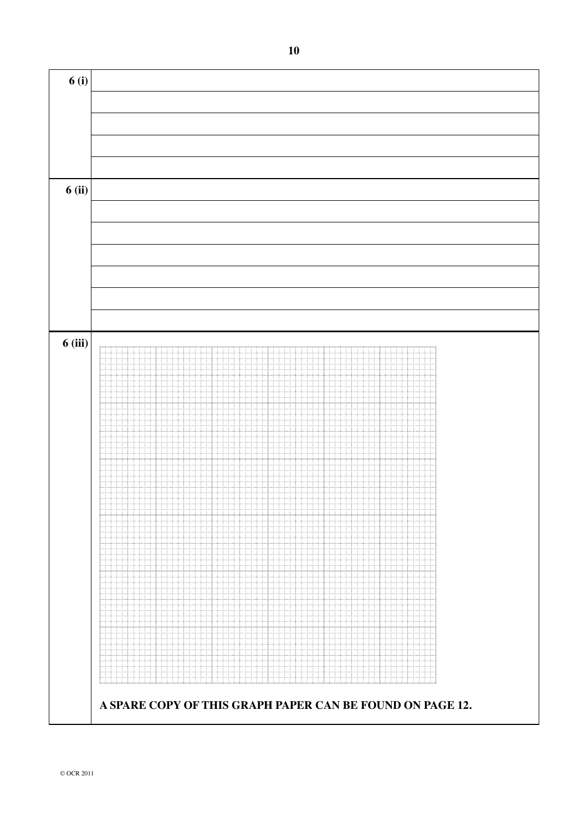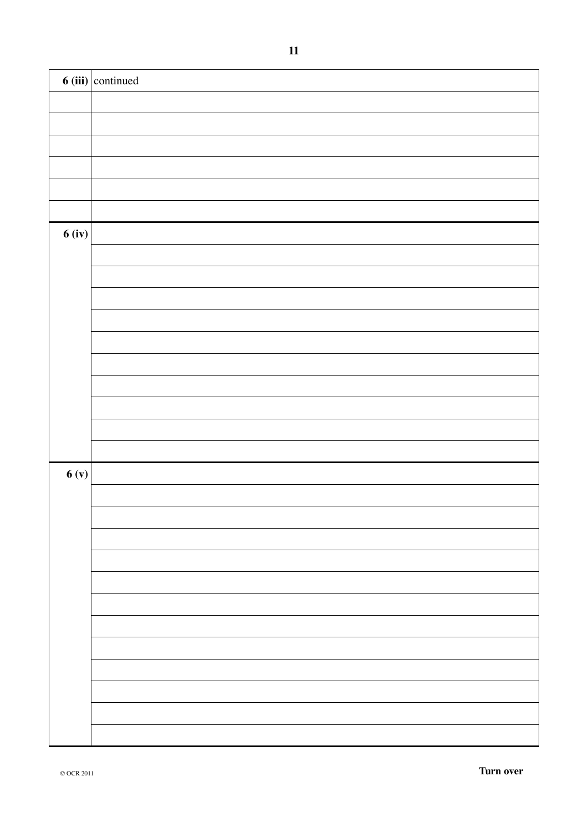|       | 6 (iii) continued |
|-------|-------------------|
|       |                   |
|       |                   |
|       |                   |
|       |                   |
|       |                   |
|       |                   |
| 6(iv) |                   |
|       |                   |
|       |                   |
|       |                   |
|       |                   |
|       |                   |
|       |                   |
|       |                   |
|       |                   |
|       |                   |
|       |                   |
| 6(y)  |                   |
|       |                   |
|       |                   |
|       |                   |
|       |                   |
|       |                   |
|       |                   |
|       |                   |
|       |                   |
|       |                   |
|       |                   |
|       |                   |